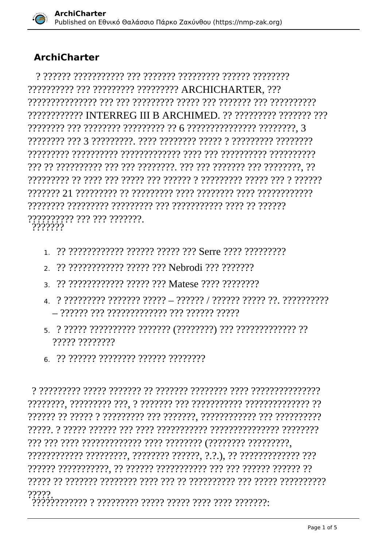

## **ArchiCharter**

?????????? ??? ????????? ????????? ARCHICHARTER. ??? ???????????? INTERREG III B ARCHIMED. ?? ???????? ??????? ??? ?????????? ??? ??? ????????.<br>????????

- 
- 2. ?? ???????????? ????? ??? Nebrodi ??? ???????
- 3. 22.22222222222.22222.222 Matese 2222.2222222
- 
- 77777 77777777
- 6 22 222222 22222222 222222 22222222

79999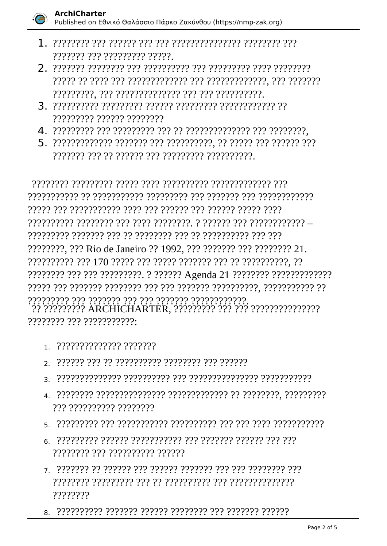

- ??????? ??? ????????? ?????
- 
- ????????? ?????? ????????
- 
- 

????????. ??? Rio de Janeiro ?? 1992, ??? ??????? ??? ???????? 21. יִרְיְיִתְיִיְיִיְיִיְיִי לְיִיְיִיְיִיְיִי לְיִיְיִיִיִי לְיִיְיִי לְיִיְיִיִי לְיִיְיִיִי לְיִיִיִּיִי לְיִ<br>לְיִיְיִי ARCHICHARTER, לְיִי לְיִי לְיִי לְיִי לִי לְיִי לִי לִי לְיִי לִי לְיִי לִי לְיִי לִ ???????? ??? ???????????

- $1$  ?????????????? ???????
- 
- 
- ??? ?????????? ????????
- 
- 11111111 111 1111111111 111111
- ????????
-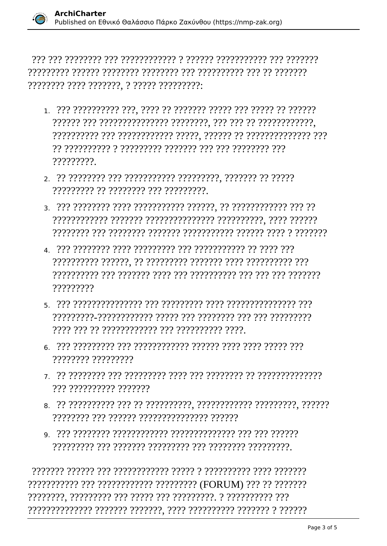- 22 2222222222 2 22222222 2222222 222 222 222 222 ?????????
- ????????? ?? ???????? ??? ?????????.
- 
- 77777777
- 
- ???????? ?????????
- ??? ?????????? ???????
- 
- 

??????????? ??? ??????????? ????????? (FORUM) ??? ?? ???????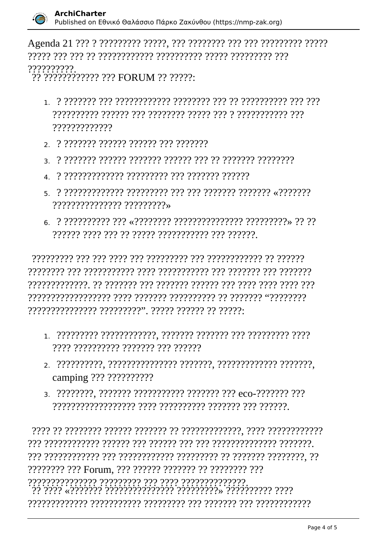

## 777777777

 $\frac{1}{2}$ לְלְיֹלְלְיֹלְלְ $\frac{1}{2}$  FORUM ?? ?????:

- 222222222 222222 222 22222222 2222 2222 222 222 777777777777
- 2. ? ??????? ?????? ?????? ??? ???????
- 
- 
- ??????????????? ?????????>
- 

- ???? ?????????? ??????? ??? ??????
- camping ??? ??????????
- 3. ????????. ??????? ??????????? ??????? ??? eco-??????? ???

22222222 222 Forum, 222 222222 2222222 22 22222222 222